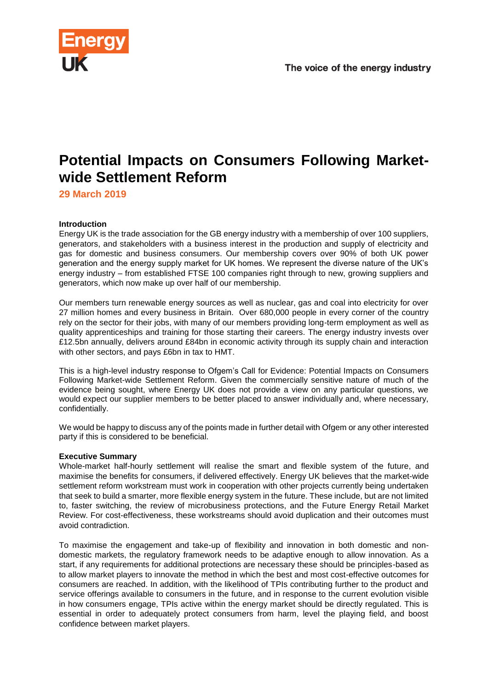

# **Potential Impacts on Consumers Following Marketwide Settlement Reform**

**29 March 2019**

# **Introduction**

Energy UK is the trade association for the GB energy industry with a membership of over 100 suppliers, generators, and stakeholders with a business interest in the production and supply of electricity and gas for domestic and business consumers. Our membership covers over 90% of both UK power generation and the energy supply market for UK homes. We represent the diverse nature of the UK's energy industry – from established FTSE 100 companies right through to new, growing suppliers and generators, which now make up over half of our membership.

Our members turn renewable energy sources as well as nuclear, gas and coal into electricity for over 27 million homes and every business in Britain. Over 680,000 people in every corner of the country rely on the sector for their jobs, with many of our members providing long-term employment as well as quality apprenticeships and training for those starting their careers. The energy industry invests over £12.5bn annually, delivers around £84bn in economic activity through its supply chain and interaction with other sectors, and pays £6bn in tax to HMT.

This is a high-level industry response to Ofgem's Call for Evidence: Potential Impacts on Consumers Following Market-wide Settlement Reform. Given the commercially sensitive nature of much of the evidence being sought, where Energy UK does not provide a view on any particular questions, we would expect our supplier members to be better placed to answer individually and, where necessary, confidentially.

We would be happy to discuss any of the points made in further detail with Ofgem or any other interested party if this is considered to be beneficial.

# **Executive Summary**

Whole-market half-hourly settlement will realise the smart and flexible system of the future, and maximise the benefits for consumers, if delivered effectively. Energy UK believes that the market-wide settlement reform workstream must work in cooperation with other projects currently being undertaken that seek to build a smarter, more flexible energy system in the future. These include, but are not limited to, faster switching, the review of microbusiness protections, and the Future Energy Retail Market Review. For cost-effectiveness, these workstreams should avoid duplication and their outcomes must avoid contradiction.

To maximise the engagement and take-up of flexibility and innovation in both domestic and nondomestic markets, the regulatory framework needs to be adaptive enough to allow innovation. As a start, if any requirements for additional protections are necessary these should be principles-based as to allow market players to innovate the method in which the best and most cost-effective outcomes for consumers are reached. In addition, with the likelihood of TPIs contributing further to the product and service offerings available to consumers in the future, and in response to the current evolution visible in how consumers engage, TPIs active within the energy market should be directly regulated. This is essential in order to adequately protect consumers from harm, level the playing field, and boost confidence between market players.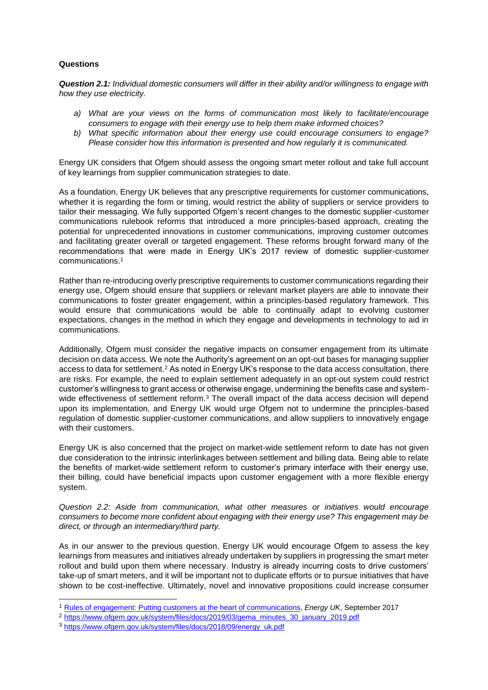# **Questions**

*Question 2.1: Individual domestic consumers will differ in their ability and/or willingness to engage with how they use electricity.* 

- *a) What are your views on the forms of communication most likely to facilitate/encourage consumers to engage with their energy use to help them make informed choices?*
- *b) What specific information about their energy use could encourage consumers to engage? Please consider how this information is presented and how regularly it is communicated.*

Energy UK considers that Ofgem should assess the ongoing smart meter rollout and take full account of key learnings from supplier communication strategies to date.

As a foundation, Energy UK believes that any prescriptive requirements for customer communications, whether it is regarding the form or timing, would restrict the ability of suppliers or service providers to tailor their messaging. We fully supported Ofgem's recent changes to the domestic supplier-customer communications rulebook reforms that introduced a more principles-based approach, creating the potential for unprecedented innovations in customer communications, improving customer outcomes and facilitating greater overall or targeted engagement. These reforms brought forward many of the recommendations that were made in Energy UK's 2017 review of domestic supplier-customer communications.<sup>1</sup>

Rather than re-introducing overly prescriptive requirements to customer communications regarding their energy use, Ofgem should ensure that suppliers or relevant market players are able to innovate their communications to foster greater engagement, within a principles-based regulatory framework. This would ensure that communications would be able to continually adapt to evolving customer expectations, changes in the method in which they engage and developments in technology to aid in communications.

Additionally, Ofgem must consider the negative impacts on consumer engagement from its ultimate decision on data access. We note the Authority's agreement on an opt-out bases for managing supplier access to data for settlement.<sup>2</sup> As noted in Energy UK's response to the data access consultation, there are risks. For example, the need to explain settlement adequately in an opt-out system could restrict customer's willingness to grant access or otherwise engage, undermining the benefits case and systemwide effectiveness of settlement reform.<sup>3</sup> The overall impact of the data access decision will depend upon its implementation, and Energy UK would urge Ofgem not to undermine the principles-based regulation of domestic supplier-customer communications, and allow suppliers to innovatively engage with their customers.

Energy UK is also concerned that the project on market-wide settlement reform to date has not given due consideration to the intrinsic interlinkages between settlement and billing data. Being able to relate the benefits of market-wide settlement reform to customer's primary interface with their energy use, their billing, could have beneficial impacts upon customer engagement with a more flexible energy system.

*Question 2.2: Aside from communication, what other measures or initiatives would encourage consumers to become more confident about engaging with their energy use? This engagement may be direct, or through an intermediary/third party.*

As in our answer to the previous question, Energy UK would encourage Ofgem to assess the key learnings from measures and initiatives already undertaken by suppliers in progressing the smart meter rollout and build upon them where necessary. Industry is already incurring costs to drive customers' take-up of smart meters, and it will be important not to duplicate efforts or to pursue initiatives that have shown to be cost-ineffective. Ultimately, novel and innovative propositions could increase consumer

1

<sup>1</sup> [Rules of engagement: Putting customers at the heart of communications,](https://www.energy-uk.org.uk/publication.html?task=file.download&id=6270) *Energy UK*, September 2017

<sup>2</sup> [https://www.ofgem.gov.uk/system/files/docs/2019/03/gema\\_minutes\\_30\\_january\\_2019.pdf](https://www.ofgem.gov.uk/system/files/docs/2019/03/gema_minutes_30_january_2019.pdf)

<sup>3</sup> [https://www.ofgem.gov.uk/system/files/docs/2018/09/energy\\_uk.pdf](https://www.ofgem.gov.uk/system/files/docs/2018/09/energy_uk.pdf)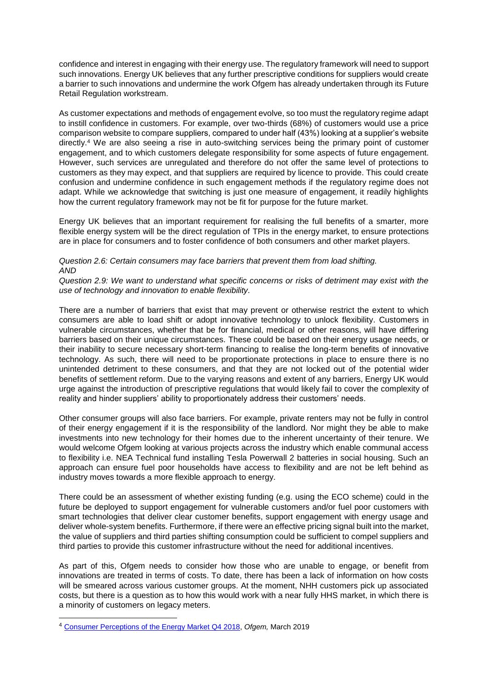confidence and interest in engaging with their energy use. The regulatory framework will need to support such innovations. Energy UK believes that any further prescriptive conditions for suppliers would create a barrier to such innovations and undermine the work Ofgem has already undertaken through its Future Retail Regulation workstream.

As customer expectations and methods of engagement evolve, so too must the regulatory regime adapt to instill confidence in customers. For example, over two-thirds (68%) of customers would use a price comparison website to compare suppliers, compared to under half (43%) looking at a supplier's website directly.<sup>4</sup> We are also seeing a rise in auto-switching services being the primary point of customer engagement, and to which customers delegate responsibility for some aspects of future engagement. However, such services are unregulated and therefore do not offer the same level of protections to customers as they may expect, and that suppliers are required by licence to provide. This could create confusion and undermine confidence in such engagement methods if the regulatory regime does not adapt. While we acknowledge that switching is just one measure of engagement, it readily highlights how the current regulatory framework may not be fit for purpose for the future market.

Energy UK believes that an important requirement for realising the full benefits of a smarter, more flexible energy system will be the direct regulation of TPIs in the energy market, to ensure protections are in place for consumers and to foster confidence of both consumers and other market players.

#### *Question 2.6: Certain consumers may face barriers that prevent them from load shifting. AND*

*Question 2.9: We want to understand what specific concerns or risks of detriment may exist with the use of technology and innovation to enable flexibility.*

There are a number of barriers that exist that may prevent or otherwise restrict the extent to which consumers are able to load shift or adopt innovative technology to unlock flexibility. Customers in vulnerable circumstances, whether that be for financial, medical or other reasons, will have differing barriers based on their unique circumstances. These could be based on their energy usage needs, or their inability to secure necessary short-term financing to realise the long-term benefits of innovative technology. As such, there will need to be proportionate protections in place to ensure there is no unintended detriment to these consumers, and that they are not locked out of the potential wider benefits of settlement reform. Due to the varying reasons and extent of any barriers, Energy UK would urge against the introduction of prescriptive regulations that would likely fail to cover the complexity of reality and hinder suppliers' ability to proportionately address their customers' needs.

Other consumer groups will also face barriers. For example, private renters may not be fully in control of their energy engagement if it is the responsibility of the landlord. Nor might they be able to make investments into new technology for their homes due to the inherent uncertainty of their tenure. We would welcome Ofgem looking at various projects across the industry which enable communal access to flexibility i.e. NEA Technical fund installing Tesla Powerwall 2 batteries in social housing. Such an approach can ensure fuel poor households have access to flexibility and are not be left behind as industry moves towards a more flexible approach to energy.

There could be an assessment of whether existing funding (e.g. using the ECO scheme) could in the future be deployed to support engagement for vulnerable customers and/or fuel poor customers with smart technologies that deliver clear customer benefits, support engagement with energy usage and deliver whole-system benefits. Furthermore, if there were an effective pricing signal built into the market, the value of suppliers and third parties shifting consumption could be sufficient to compel suppliers and third parties to provide this customer infrastructure without the need for additional incentives.

As part of this, Ofgem needs to consider how those who are unable to engage, or benefit from innovations are treated in terms of costs. To date, there has been a lack of information on how costs will be smeared across various customer groups. At the moment, NHH customers pick up associated costs, but there is a question as to how this would work with a near fully HHS market, in which there is a minority of customers on legacy meters.

-

<sup>4</sup> [Consumer Perceptions of the Energy Market Q4 2018,](https://www.ofgem.gov.uk/publications-and-updates/consumer-perceptions-energy-market-q4-2018) *Ofgem,* March 2019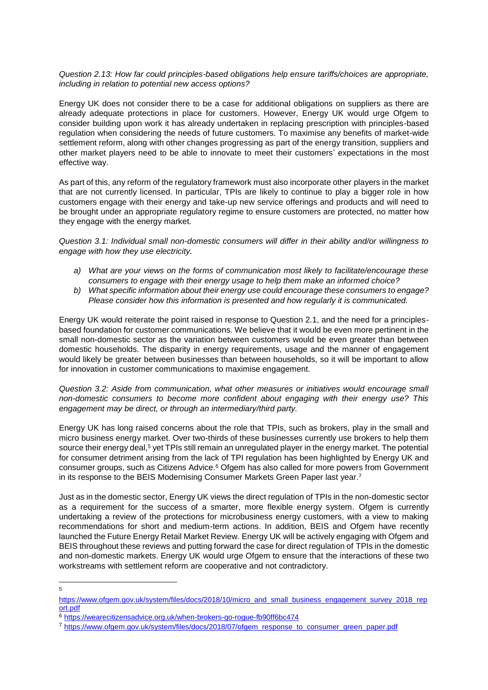### *Question 2.13: How far could principles-based obligations help ensure tariffs/choices are appropriate, including in relation to potential new access options?*

Energy UK does not consider there to be a case for additional obligations on suppliers as there are already adequate protections in place for customers. However, Energy UK would urge Ofgem to consider building upon work it has already undertaken in replacing prescription with principles-based regulation when considering the needs of future customers. To maximise any benefits of market-wide settlement reform, along with other changes progressing as part of the energy transition, suppliers and other market players need to be able to innovate to meet their customers' expectations in the most effective way.

As part of this, any reform of the regulatory framework must also incorporate other players in the market that are not currently licensed. In particular, TPIs are likely to continue to play a bigger role in how customers engage with their energy and take-up new service offerings and products and will need to be brought under an appropriate regulatory regime to ensure customers are protected, no matter how they engage with the energy market.

*Question 3.1: Individual small non-domestic consumers will differ in their ability and/or willingness to engage with how they use electricity.* 

- *a) What are your views on the forms of communication most likely to facilitate/encourage these consumers to engage with their energy usage to help them make an informed choice?*
- *b) What specific information about their energy use could encourage these consumers to engage? Please consider how this information is presented and how regularly it is communicated.*

Energy UK would reiterate the point raised in response to Question 2.1, and the need for a principlesbased foundation for customer communications. We believe that it would be even more pertinent in the small non-domestic sector as the variation between customers would be even greater than between domestic households. The disparity in energy requirements, usage and the manner of engagement would likely be greater between businesses than between households, so it will be important to allow for innovation in customer communications to maximise engagement.

*Question 3.2: Aside from communication, what other measures or initiatives would encourage small non-domestic consumers to become more confident about engaging with their energy use? This engagement may be direct, or through an intermediary/third party.*

Energy UK has long raised concerns about the role that TPIs, such as brokers, play in the small and micro business energy market. Over two-thirds of these businesses currently use brokers to help them source their energy deal,<sup>5</sup> yet TPIs still remain an unregulated player in the energy market. The potential for consumer detriment arising from the lack of TPI regulation has been highlighted by Energy UK and consumer groups, such as Citizens Advice.<sup>6</sup> Ofgem has also called for more powers from Government in its response to the BEIS Modernising Consumer Markets Green Paper last year.<sup>7</sup>

Just as in the domestic sector, Energy UK views the direct regulation of TPIs in the non-domestic sector as a requirement for the success of a smarter, more flexible energy system. Ofgem is currently undertaking a review of the protections for microbusiness energy customers, with a view to making recommendations for short and medium-term actions. In addition, BEIS and Ofgem have recently launched the Future Energy Retail Market Review. Energy UK will be actively engaging with Ofgem and BEIS throughout these reviews and putting forward the case for direct regulation of TPIs in the domestic and non-domestic markets. Energy UK would urge Ofgem to ensure that the interactions of these two workstreams with settlement reform are cooperative and not contradictory.

<sup>—&</sup>lt;br>5

[https://www.ofgem.gov.uk/system/files/docs/2018/10/micro\\_and\\_small\\_business\\_engagement\\_survey\\_2018\\_rep](https://www.ofgem.gov.uk/system/files/docs/2018/10/micro_and_small_business_engagement_survey_2018_report.pdf) [ort.pdf](https://www.ofgem.gov.uk/system/files/docs/2018/10/micro_and_small_business_engagement_survey_2018_report.pdf)

<sup>6</sup> <https://wearecitizensadvice.org.uk/when-brokers-go-rogue-fb90ff6bc474>

<sup>7</sup> [https://www.ofgem.gov.uk/system/files/docs/2018/07/ofgem\\_response\\_to\\_consumer\\_green\\_paper.pdf](https://www.ofgem.gov.uk/system/files/docs/2018/07/ofgem_response_to_consumer_green_paper.pdf)